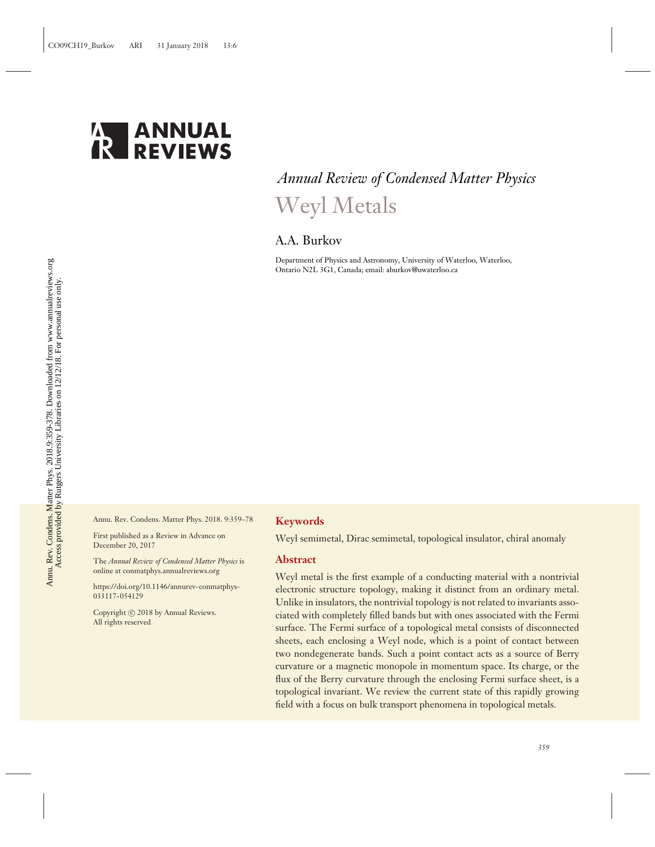

# *Annual Review of Condensed Matter Physics* Weyl Metals

## A.A. Burkov

Department of Physics and Astronomy, University of Waterloo, Waterloo, Ontario N2L 3G1, Canada; email: aburkov@uwaterloo.ca

Annu. Rev. Condens. Matter Phys. 2018. 9:359–78

First published as a Review in Advance on December 20, 2017

The *Annual Review of Condensed Matter Physics* is online at conmatphys.annualreviews.org

[https://doi.org/10.1146/annurev-conmatphys-](https://doi.org/10.1146/annurev-conmatphys-033117-054129)[033117-054129](https://doi.org/10.1146/annurev-conmatphys-033117-054129)

Copyright © 2018 by Annual Reviews. All rights reserved

## **Keywords**

Weyl semimetal, Dirac semimetal, topological insulator, chiral anomaly

#### **Abstract**

Weyl metal is the first example of a conducting material with a nontrivial electronic structure topology, making it distinct from an ordinary metal. Unlike in insulators, the nontrivial topology is not related to invariants associated with completely filled bands but with ones associated with the Fermi surface. The Fermi surface of a topological metal consists of disconnected sheets, each enclosing a Weyl node, which is a point of contact between two nondegenerate bands. Such a point contact acts as a source of Berry curvature or a magnetic monopole in momentum space. Its charge, or the flux of the Berry curvature through the enclosing Fermi surface sheet, is a topological invariant. We review the current state of this rapidly growing field with a focus on bulk transport phenomena in topological metals.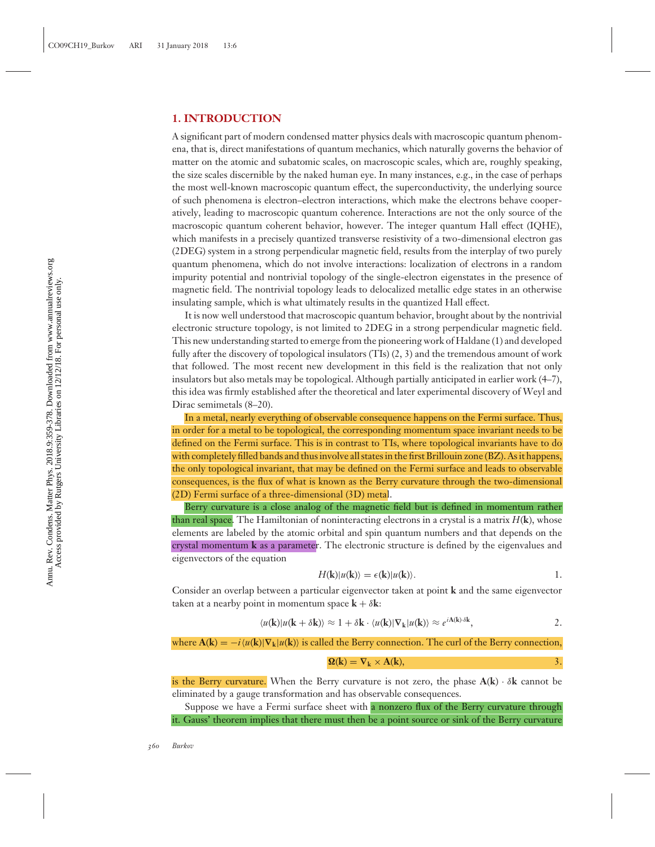#### **1. INTRODUCTION**

A significant part of modern condensed matter physics deals with macroscopic quantum phenomena, that is, direct manifestations of quantum mechanics, which naturally governs the behavior of matter on the atomic and subatomic scales, on macroscopic scales, which are, roughly speaking, the size scales discernible by the naked human eye. In many instances, e.g., in the case of perhaps the most well-known macroscopic quantum effect, the superconductivity, the underlying source of such phenomena is electron–electron interactions, which make the electrons behave cooperatively, leading to macroscopic quantum coherence. Interactions are not the only source of the macroscopic quantum coherent behavior, however. The integer quantum Hall effect (IQHE), which manifests in a precisely quantized transverse resistivity of a two-dimensional electron gas (2DEG) system in a strong perpendicular magnetic field, results from the interplay of two purely quantum phenomena, which do not involve interactions: localization of electrons in a random impurity potential and nontrivial topology of the single-electron eigenstates in the presence of magnetic field. The nontrivial topology leads to delocalized metallic edge states in an otherwise insulating sample, which is what ultimately results in the quantized Hall effect.

It is now well understood that macroscopic quantum behavior, brought about by the nontrivial electronic structure topology, is not limited to 2DEG in a strong perpendicular magnetic field. This new understanding started to emerge from the pioneering work of Haldane (1) and developed fully after the discovery of topological insulators (TIs) (2, 3) and the tremendous amount of work that followed. The most recent new development in this field is the realization that not only insulators but also metals may be topological. Although partially anticipated in earlier work (4–7), this idea was firmly established after the theoretical and later experimental discovery of Weyl and Dirac semimetals (8–20).

In a metal, nearly everything of observable consequence happens on the Fermi surface. Thus, in order for a metal to be topological, the corresponding momentum space invariant needs to be defined on the Fermi surface. This is in contrast to TIs, where topological invariants have to do with completely filled bands and thus involve all states in the first Brillouin zone (BZ). As it happens, the only topological invariant, that may be defined on the Fermi surface and leads to observable consequences, is the flux of what is known as the Berry curvature through the two-dimensional (2D) Fermi surface of a three-dimensional (3D) metal.

Berry curvature is a close analog of the magnetic field but is defined in momentum rather than real space. The Hamiltonian of noninteracting electrons in a crystal is a matrix *H*(**k**), whose elements are labeled by the atomic orbital and spin quantum numbers and that depends on the crystal momentum **k** as a parameter. The electronic structure is defined by the eigenvalues and eigenvectors of the equation

$$
H(\mathbf{k})|u(\mathbf{k})\rangle = \epsilon(\mathbf{k})|u(\mathbf{k})\rangle.
$$

Consider an overlap between a particular eigenvector taken at point **k** and the same eigenvector taken at a nearby point in momentum space  $\mathbf{k} + \delta \mathbf{k}$ :

$$
\langle u(\mathbf{k})|u(\mathbf{k}+\delta\mathbf{k})\rangle \approx 1+\delta\mathbf{k}\cdot\langle u(\mathbf{k})|\nabla_{\mathbf{k}}|u(\mathbf{k})\rangle \approx e^{i\mathbf{A}(\mathbf{k})\cdot\delta\mathbf{k}},\tag{2.}
$$

where  $\mathbf{A}(\mathbf{k}) = -i \langle u(\mathbf{k}) | \nabla_{\mathbf{k}} | u(\mathbf{k}) \rangle$  is called the Berry connection. The curl of the Berry connection,

$$
\Omega(\mathbf{k}) = \nabla_{\mathbf{k}} \times \mathbf{A}(\mathbf{k}), \tag{3}
$$

is the Berry curvature. When the Berry curvature is not zero, the phase **A**(**k**) · δ**k** cannot be eliminated by a gauge transformation and has observable consequences.

Suppose we have a Fermi surface sheet with a nonzero flux of the Berry curvature through it. Gauss' theorem implies that there must then be a point source or sink of the Berry curvature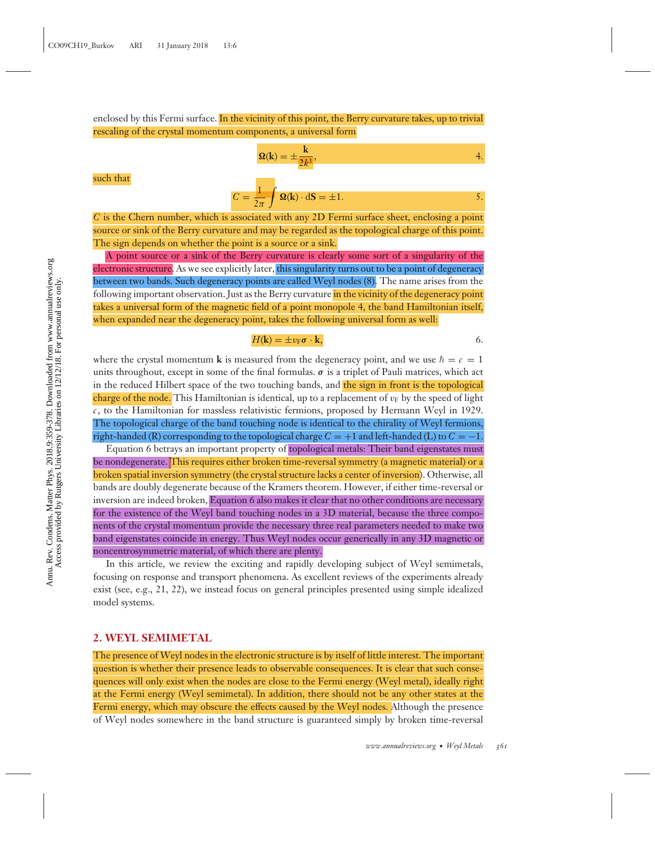enclosed by this Fermi surface. In the vicinity of this point, the Berry curvature takes, up to trivial rescaling of the crystal momentum components, a universal form

$$
\Omega(\mathbf{k}) = \pm \frac{\mathbf{k}}{2k^3},\tag{4}
$$

such that

$$
C = \frac{1}{2\pi} \int \Omega(\mathbf{k}) \cdot d\mathbf{S} = \pm 1.
$$

*C* is the Chern number, which is associated with any 2D Fermi surface sheet, enclosing a point source or sink of the Berry curvature and may be regarded as the topological charge of this point. The sign depends on whether the point is a source or a sink.

A point source or a sink of the Berry curvature is clearly some sort of a singularity of the electronic structure. As we see explicitly later, this singularity turns out to be a point of degeneracy between two bands. Such degeneracy points are called Weyl nodes (8). The name arises from the following important observation. Just as the Berry curvature in the vicinity of the degeneracy point takes a universal form of the magnetic field of a point monopole 4, the band Hamiltonian itself, when expanded near the degeneracy point, takes the following universal form as well:

$$
H(\mathbf{k}) = \pm v_{\rm F} \boldsymbol{\sigma} \cdot \mathbf{k}, \qquad (6)
$$

where the crystal momentum **k** is measured from the degeneracy point, and we use  $\hbar = c = 1$ units throughout, except in some of the final formulas. *σ* is a triplet of Pauli matrices, which act in the reduced Hilbert space of the two touching bands, and the sign in front is the topological charge of the node. This Hamiltonian is identical, up to a replacement of  $v_F$  by the speed of light *c*, to the Hamiltonian for massless relativistic fermions, proposed by Hermann Weyl in 1929. The topological charge of the band touching node is identical to the chirality of Weyl fermions, right-handed (R) corresponding to the topological charge  $C = +1$  and left-handed (L) to  $C = -1$ .

Equation 6 betrays an important property of topological metals: Their band eigenstates must be nondegenerate. This requires either broken time-reversal symmetry (a magnetic material) or a broken spatial inversion symmetry (the crystal structure lacks a center of inversion). Otherwise, all bands are doubly degenerate because of the Kramers theorem. However, if either time-reversal or inversion are indeed broken, Equation 6 also makes it clear that no other conditions are necessary for the existence of the Weyl band touching nodes in a 3D material, because the three components of the crystal momentum provide the necessary three real parameters needed to make two band eigenstates coincide in energy. Thus Weyl nodes occur generically in any 3D magnetic or noncentrosymmetric material, of which there are plenty.

In this article, we review the exciting and rapidly developing subject of Weyl semimetals, focusing on response and transport phenomena. As excellent reviews of the experiments already exist (see, e.g., 21, 22), we instead focus on general principles presented using simple idealized model systems.

## **2. WEYL SEMIMETAL**

The presence of Weyl nodes in the electronic structure is by itself of little interest. The important question is whether their presence leads to observable consequences. It is clear that such consequences will only exist when the nodes are close to the Fermi energy (Weyl metal), ideally right at the Fermi energy (Weyl semimetal). In addition, there should not be any other states at the Fermi energy, which may obscure the effects caused by the Weyl nodes. Although the presence of Weyl nodes somewhere in the band structure is guaranteed simply by broken time-reversal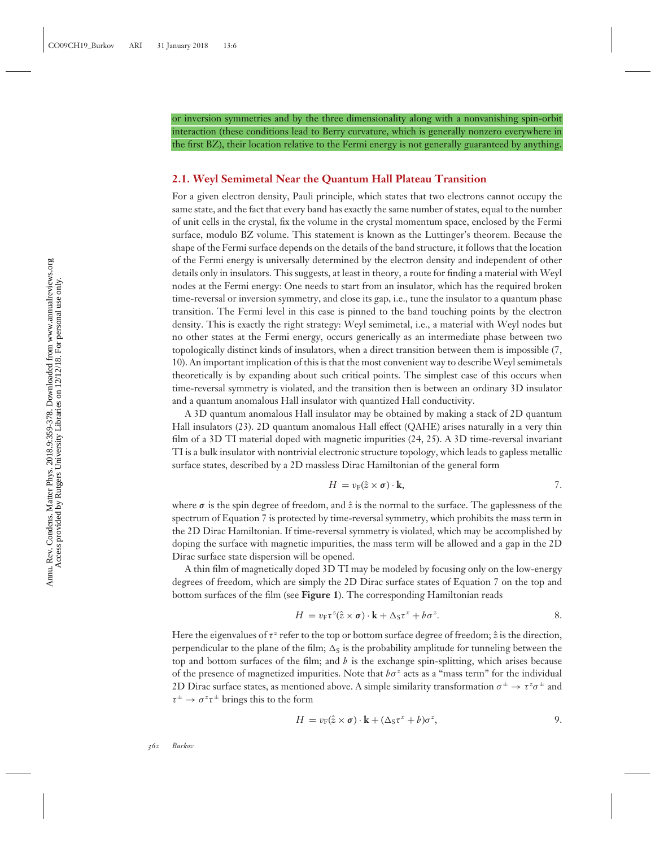or inversion symmetries and by the three dimensionality along with a nonvanishing spin-orbit interaction (these conditions lead to Berry curvature, which is generally nonzero everywhere in the first BZ), their location relative to the Fermi energy is not generally guaranteed by anything.

#### **2.1. Weyl Semimetal Near the Quantum Hall Plateau Transition**

For a given electron density, Pauli principle, which states that two electrons cannot occupy the same state, and the fact that every band has exactly the same number of states, equal to the number of unit cells in the crystal, fix the volume in the crystal momentum space, enclosed by the Fermi surface, modulo BZ volume. This statement is known as the Luttinger's theorem. Because the shape of the Fermi surface depends on the details of the band structure, it follows that the location of the Fermi energy is universally determined by the electron density and independent of other details only in insulators. This suggests, at least in theory, a route for finding a material with Weyl nodes at the Fermi energy: One needs to start from an insulator, which has the required broken time-reversal or inversion symmetry, and close its gap, i.e., tune the insulator to a quantum phase transition. The Fermi level in this case is pinned to the band touching points by the electron density. This is exactly the right strategy: Weyl semimetal, i.e., a material with Weyl nodes but no other states at the Fermi energy, occurs generically as an intermediate phase between two topologically distinct kinds of insulators, when a direct transition between them is impossible (7, 10). An important implication of this is that the most convenient way to describe Weyl semimetals theoretically is by expanding about such critical points. The simplest case of this occurs when time-reversal symmetry is violated, and the transition then is between an ordinary 3D insulator and a quantum anomalous Hall insulator with quantized Hall conductivity.

A 3D quantum anomalous Hall insulator may be obtained by making a stack of 2D quantum Hall insulators (23). 2D quantum anomalous Hall effect (QAHE) arises naturally in a very thin film of a 3D TI material doped with magnetic impurities (24, 25). A 3D time-reversal invariant TI is a bulk insulator with nontrivial electronic structure topology, which leads to gapless metallic surface states, described by a 2D massless Dirac Hamiltonian of the general form

$$
H = v_{\rm F}(\hat{z} \times \boldsymbol{\sigma}) \cdot \mathbf{k}, \qquad \qquad 7.
$$

where  $\sigma$  is the spin degree of freedom, and  $\hat{z}$  is the normal to the surface. The gaplessness of the spectrum of Equation 7 is protected by time-reversal symmetry, which prohibits the mass term in the 2D Dirac Hamiltonian. If time-reversal symmetry is violated, which may be accomplished by doping the surface with magnetic impurities, the mass term will be allowed and a gap in the 2D Dirac surface state dispersion will be opened.

A thin film of magnetically doped 3D TI may be modeled by focusing only on the low-energy degrees of freedom, which are simply the 2D Dirac surface states of Equation 7 on the top and bottom surfaces of the film (see **Figure 1**). The corresponding Hamiltonian reads

$$
H = v_{\rm F} \tau^z (\hat{z} \times \boldsymbol{\sigma}) \cdot \mathbf{k} + \Delta_{\rm S} \tau^x + b \sigma^z.
$$
8.

Here the eigenvalues of  $\tau^z$  refer to the top or bottom surface degree of freedom;  $\hat{z}$  is the direction, perpendicular to the plane of the film;  $\Delta s$  is the probability amplitude for tunneling between the top and bottom surfaces of the film; and *b* is the exchange spin-splitting, which arises because of the presence of magnetized impurities. Note that  $b\sigma^z$  acts as a "mass term" for the individual 2D Dirac surface states, as mentioned above. A simple similarity transformation  $\sigma^\pm\to\tau^z\sigma^\pm$  and  $\tau^{\pm} \rightarrow \sigma^z \tau^{\pm}$  brings this to the form

$$
H = v_{\rm F}(\hat{z} \times \boldsymbol{\sigma}) \cdot \mathbf{k} + (\Delta_{\rm S} \tau^x + b) \sigma^z, \tag{9}
$$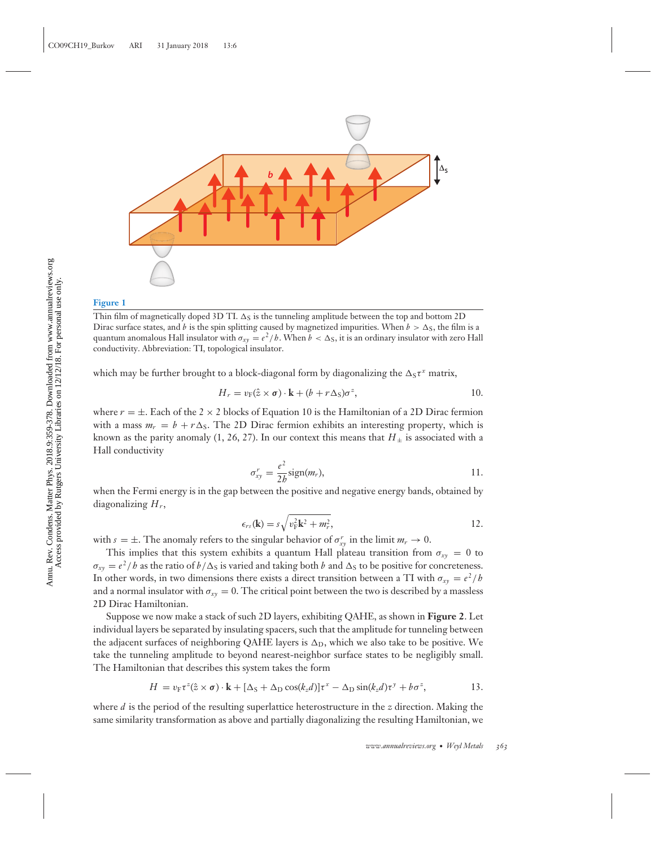

Thin film of magnetically doped 3D TI.  $\Delta$ <sub>S</sub> is the tunneling amplitude between the top and bottom 2D Dirac surface states, and *b* is the spin splitting caused by magnetized impurities. When  $b > \Delta s$ , the film is a quantum anomalous Hall insulator with  $\sigma_{xy} = e^2/h$ . When  $b < \Delta_S$ , it is an ordinary insulator with zero Hall conductivity. Abbreviation: TI, topological insulator.

which may be further brought to a block-diagonal form by diagonalizing the  $\Delta_{S} \tau^{x}$  matrix,

$$
H_r = v_{\rm F}(\hat{z} \times \boldsymbol{\sigma}) \cdot \mathbf{k} + (b + r\Delta_{\rm S})\sigma^z, \tag{10}
$$

where  $r = \pm$ . Each of the 2  $\times$  2 blocks of Equation 10 is the Hamiltonian of a 2D Dirac fermion with a mass  $m_r = b + r\Delta_s$ . The 2D Dirac fermion exhibits an interesting property, which is known as the parity anomaly (1, 26, 27). In our context this means that  $H_{\pm}$  is associated with a Hall conductivity

$$
\sigma_{xy}^r = \frac{e^2}{2b} sign(m_r), \qquad \qquad 11.
$$

when the Fermi energy is in the gap between the positive and negative energy bands, obtained by diagonalizing  $H_r$ ,

$$
\epsilon_{rs}(\mathbf{k}) = s\sqrt{v_{\rm F}^2\mathbf{k}^2 + m_r^2},\tag{12}
$$

with  $s = \pm$ . The anomaly refers to the singular behavior of  $\sigma_{xy}^r$  in the limit  $m_r \to 0$ .

This implies that this system exhibits a quantum Hall plateau transition from  $\sigma_{xy} = 0$  to  $\sigma_{xy} = e^2/h$  as the ratio of  $b/\Delta_S$  is varied and taking both *b* and  $\Delta_S$  to be positive for concreteness. In other words, in two dimensions there exists a direct transition between a TI with  $\sigma_{xy} = e^2/h$ and a normal insulator with  $\sigma_{xy} = 0$ . The critical point between the two is described by a massless 2D Dirac Hamiltonian.

Suppose we now make a stack of such 2D layers, exhibiting QAHE, as shown in **Figure 2**. Let individual layers be separated by insulating spacers, such that the amplitude for tunneling between the adjacent surfaces of neighboring OAHE layers is  $\Delta_D$ , which we also take to be positive. We take the tunneling amplitude to beyond nearest-neighbor surface states to be negligibly small. The Hamiltonian that describes this system takes the form

$$
H = v_{\rm F} \tau^z (\hat{z} \times \boldsymbol{\sigma}) \cdot \mathbf{k} + [\Delta_{\rm S} + \Delta_{\rm D} \cos(k_z d)] \tau^x - \Delta_{\rm D} \sin(k_z d) \tau^y + b \sigma^z, \tag{13}
$$

where *d* is the period of the resulting superlattice heterostructure in the *z* direction. Making the same similarity transformation as above and partially diagonalizing the resulting Hamiltonian, we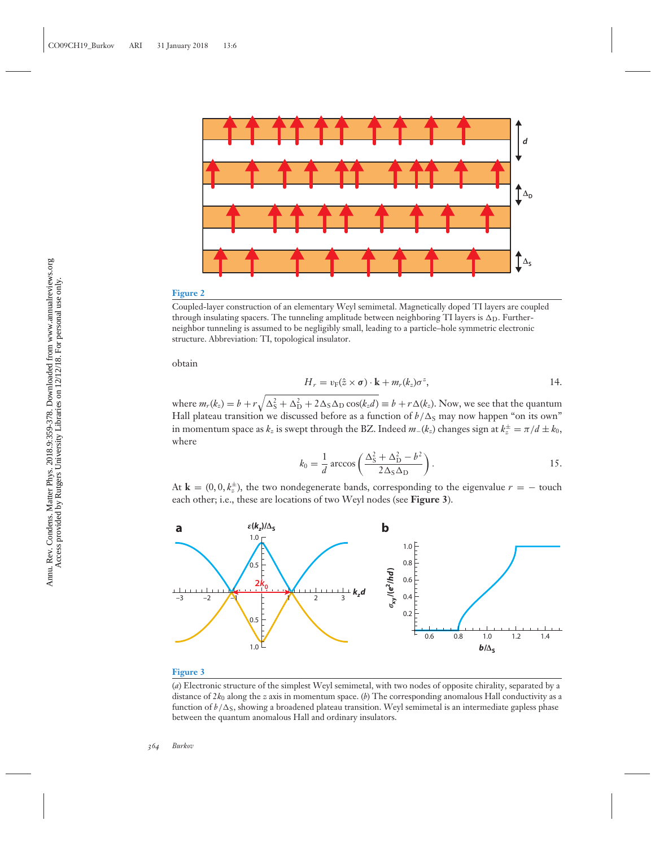

Coupled-layer construction of an elementary Weyl semimetal. Magnetically doped TI layers are coupled through insulating spacers. The tunneling amplitude between neighboring TI layers is  $\Delta_D$ . Furtherneighbor tunneling is assumed to be negligibly small, leading to a particle–hole symmetric electronic structure. Abbreviation: TI, topological insulator.

obtain

$$
H_r = v_{\rm F}(\hat{z} \times \boldsymbol{\sigma}) \cdot \mathbf{k} + m_r(k_z) \sigma^z, \tag{14}
$$

where  $m_r(k_z) = b + r\sqrt{\Delta_S^2 + \Delta_D^2 + 2\Delta_S\Delta_D\cos(k_z d)} \equiv b + r\Delta(k_z)$ . Now, we see that the quantum Hall plateau transition we discussed before as a function of  $b/\Delta_s$  may now happen "on its own" in momentum space as  $k_z$  is swept through the BZ. Indeed  $m_-(k_z)$  changes sign at  $k_z^{\pm} = \pi/d \pm k_0$ , where

$$
k_0 = \frac{1}{d} \arccos\left(\frac{\Delta_S^2 + \Delta_D^2 - b^2}{2\Delta_S\Delta_D}\right).
$$
 15.

At  $\mathbf{k} = (0, 0, k_z^{\pm})$ , the two nondegenerate bands, corresponding to the eigenvalue  $r = -$  touch each other; i.e., these are locations of two Weyl nodes (see **Figure 3**).



#### **Figure 3**

(*a*) Electronic structure of the simplest Weyl semimetal, with two nodes of opposite chirality, separated by a distance of 2*k*<sup>0</sup> along the *z* axis in momentum space. (*b*) The corresponding anomalous Hall conductivity as a function of  $b/\Delta_S$ , showing a broadened plateau transition. Weyl semimetal is an intermediate gapless phase between the quantum anomalous Hall and ordinary insulators.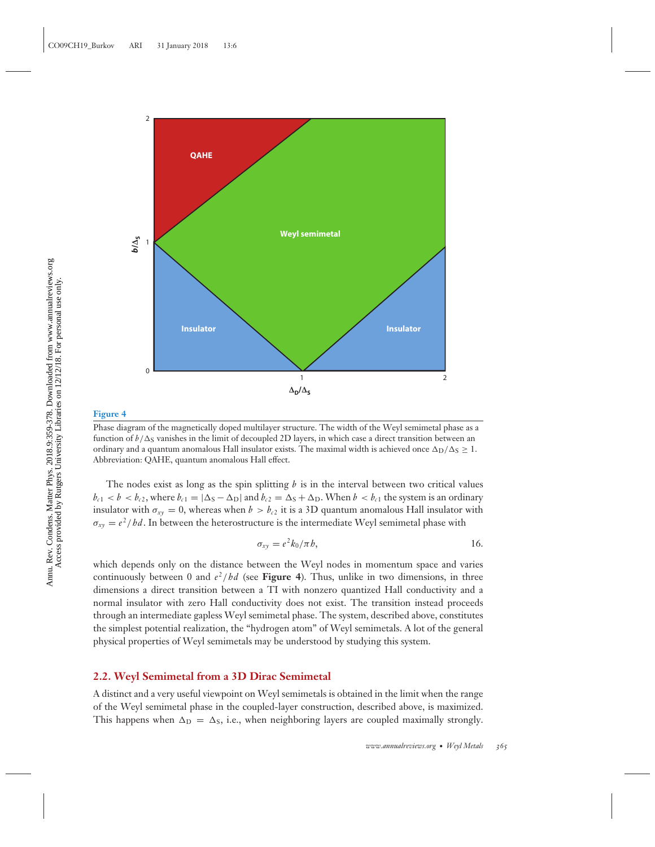

Phase diagram of the magnetically doped multilayer structure. The width of the Weyl semimetal phase as a function of  $b/\Delta_S$  vanishes in the limit of decoupled 2D layers, in which case a direct transition between an ordinary and a quantum anomalous Hall insulator exists. The maximal width is achieved once  $\Delta_D/\Delta_S \geq 1$ . Abbreviation: QAHE, quantum anomalous Hall effect.

The nodes exist as long as the spin splitting  $b$  is in the interval between two critical values  $b_{c1} < b < b_{c2}$ , where  $b_{c1} = |\Delta s - \Delta D|$  and  $b_{c2} = \Delta s + \Delta D$ . When  $b < b_{c1}$  the system is an ordinary insulator with  $\sigma_{xy} = 0$ , whereas when  $b > b_{c2}$  it is a 3D quantum anomalous Hall insulator with  $\sigma_{xy} = e^2/hd$ . In between the heterostructure is the intermediate Weyl semimetal phase with

$$
\sigma_{xy} = e^2 k_0 / \pi b, \qquad \qquad 16.
$$

which depends only on the distance between the Weyl nodes in momentum space and varies continuously between 0 and  $e^2/hd$  (see **Figure 4**). Thus, unlike in two dimensions, in three dimensions a direct transition between a TI with nonzero quantized Hall conductivity and a normal insulator with zero Hall conductivity does not exist. The transition instead proceeds through an intermediate gapless Weyl semimetal phase. The system, described above, constitutes the simplest potential realization, the "hydrogen atom" of Weyl semimetals. A lot of the general physical properties of Weyl semimetals may be understood by studying this system.

#### **2.2. Weyl Semimetal from a 3D Dirac Semimetal**

A distinct and a very useful viewpoint on Weyl semimetals is obtained in the limit when the range of the Weyl semimetal phase in the coupled-layer construction, described above, is maximized. This happens when  $\Delta_D = \Delta_S$ , i.e., when neighboring layers are coupled maximally strongly.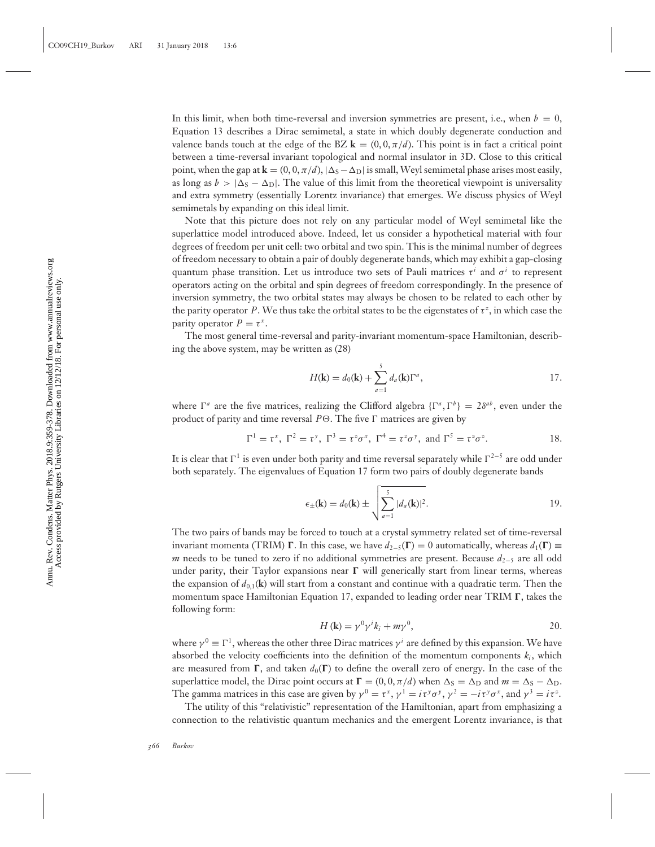In this limit, when both time-reversal and inversion symmetries are present, i.e., when  $b = 0$ , Equation 13 describes a Dirac semimetal, a state in which doubly degenerate conduction and valence bands touch at the edge of the BZ  $\mathbf{k} = (0, 0, \pi/d)$ . This point is in fact a critical point between a time-reversal invariant topological and normal insulator in 3D. Close to this critical point, when the gap at  $\mathbf{k} = (0, 0, \pi/d)$ ,  $|\Delta s - \Delta_D|$  is small, Weyl semimetal phase arises most easily, as long as  $b > |\Delta s - \Delta p|$ . The value of this limit from the theoretical viewpoint is universality and extra symmetry (essentially Lorentz invariance) that emerges. We discuss physics of Weyl semimetals by expanding on this ideal limit.

Note that this picture does not rely on any particular model of Weyl semimetal like the superlattice model introduced above. Indeed, let us consider a hypothetical material with four degrees of freedom per unit cell: two orbital and two spin. This is the minimal number of degrees of freedom necessary to obtain a pair of doubly degenerate bands, which may exhibit a gap-closing quantum phase transition. Let us introduce two sets of Pauli matrices  $\tau^i$  and  $\sigma^i$  to represent operators acting on the orbital and spin degrees of freedom correspondingly. In the presence of inversion symmetry, the two orbital states may always be chosen to be related to each other by the parity operator P. We thus take the orbital states to be the eigenstates of  $\tau^z$ , in which case the parity operator  $P = \tau^x$ .

The most general time-reversal and parity-invariant momentum-space Hamiltonian, describing the above system, may be written as (28)

$$
H(\mathbf{k}) = d_0(\mathbf{k}) + \sum_{a=1}^{5} d_a(\mathbf{k}) \Gamma^a, \qquad 17.
$$

where  $\Gamma^a$  are the five matrices, realizing the Clifford algebra  $\{\Gamma^a, \Gamma^b\} = 2\delta^{ab}$ , even under the product of parity and time reversal  $P\Theta$ . The five  $\Gamma$  matrices are given by

$$
\Gamma^1 = \tau^x, \ \Gamma^2 = \tau^y, \ \Gamma^3 = \tau^z \sigma^x, \ \Gamma^4 = \tau^z \sigma^y, \text{ and } \Gamma^5 = \tau^z \sigma^z.
$$

It is clear that  $\Gamma^1$  is even under both parity and time reversal separately while  $\Gamma^{2-5}$  are odd under both separately. The eigenvalues of Equation 17 form two pairs of doubly degenerate bands

$$
\epsilon_{\pm}(\mathbf{k}) = d_0(\mathbf{k}) \pm \sqrt{\sum_{a=1}^{5} |d_a(\mathbf{k})|^2}.
$$
 19.

The two pairs of bands may be forced to touch at a crystal symmetry related set of time-reversal invariant momenta (TRIM)  $\Gamma$ . In this case, we have  $d_{2-5}(\Gamma) = 0$  automatically, whereas  $d_1(\Gamma) \equiv$ *m* needs to be tuned to zero if no additional symmetries are present. Because  $d_{2-5}$  are all odd under parity, their Taylor expansions near  $\Gamma$  will generically start from linear terms, whereas the expansion of  $d_{0,1}(\mathbf{k})$  will start from a constant and continue with a quadratic term. Then the momentum space Hamiltonian Equation 17, expanded to leading order near TRIM  $\Gamma$ , takes the following form:

$$
H(\mathbf{k}) = \gamma^0 \gamma^i k_i + m \gamma^0, \qquad \qquad 20.
$$

where  $\gamma^0 \equiv \Gamma^1$ , whereas the other three Dirac matrices  $\gamma^i$  are defined by this expansion. We have absorbed the velocity coefficients into the definition of the momentum components  $k_i$ , which are measured from  $\Gamma$ , and taken  $d_0(\Gamma)$  to define the overall zero of energy. In the case of the superlattice model, the Dirac point occurs at  $\mathbf{\Gamma} = (0, 0, \pi/d)$  when  $\Delta_{\rm S} = \Delta_{\rm D}$  and  $m = \Delta_{\rm S} - \Delta_{\rm D}$ . The gamma matrices in this case are given by  $\gamma^0 = \tau^x$ ,  $\gamma^1 = i\tau^y \sigma^y$ ,  $\gamma^2 = -i\tau^y \sigma^x$ , and  $\gamma^3 = i\tau^z$ .

The utility of this "relativistic" representation of the Hamiltonian, apart from emphasizing a connection to the relativistic quantum mechanics and the emergent Lorentz invariance, is that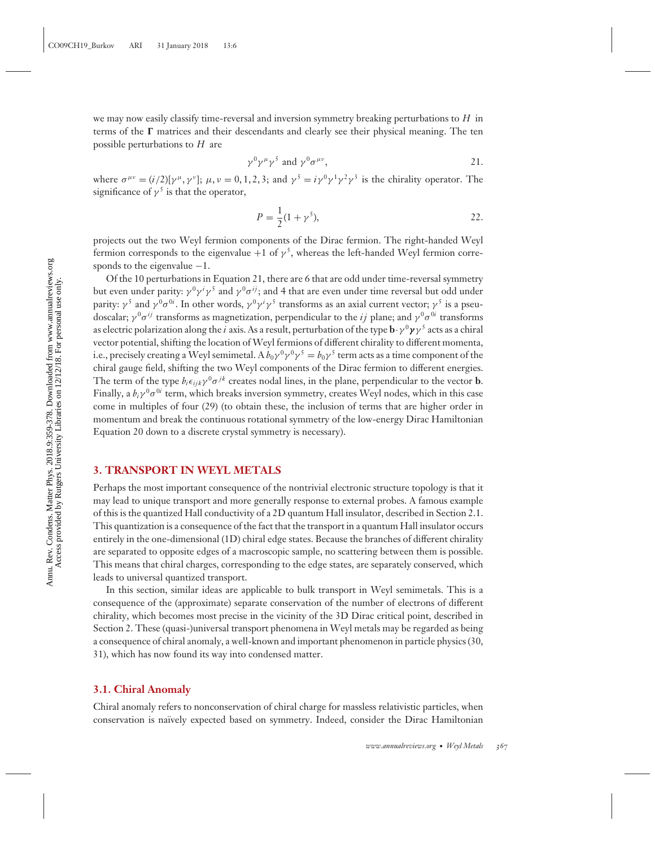we may now easily classify time-reversal and inversion symmetry breaking perturbations to *H* in terms of the  $\Gamma$  matrices and their descendants and clearly see their physical meaning. The ten possible perturbations to *H* are

$$
\gamma^0 \gamma^\mu \gamma^5 \text{ and } \gamma^0 \sigma^{\mu\nu}, \qquad \qquad 21.
$$

where  $\sigma^{\mu\nu} = (i/2)[\gamma^{\mu}, \gamma^{\nu}]$ ;  $\mu, \nu = 0, 1, 2, 3$ ; and  $\gamma^5 = i\gamma^0\gamma^1\gamma^2\gamma^3$  is the chirality operator. The significance of  $\gamma^5$  is that the operator,

$$
P = \frac{1}{2}(1 + \gamma^5),
$$
 22.

projects out the two Weyl fermion components of the Dirac fermion. The right-handed Weyl fermion corresponds to the eigenvalue +1 of  $\gamma^5$ , whereas the left-handed Weyl fermion corresponds to the eigenvalue  $-1$ .

Of the 10 perturbations in Equation 21, there are 6 that are odd under time-reversal symmetry but even under parity:  $\gamma^0 \gamma^i \gamma^5$  and  $\gamma^0 \sigma^{ij}$ ; and 4 that are even under time reversal but odd under parity:  $\gamma^5$  and  $\gamma^0\sigma^{0i}$ . In other words,  $\gamma^0\gamma^i\gamma^5$  transforms as an axial current vector;  $\gamma^5$  is a pseudoscalar;  $\gamma^0 \sigma^{ij}$  transforms as magnetization, perpendicular to the *i j* plane; and  $\gamma^0 \sigma^{0i}$  transforms as electric polarization along the *i* axis. As a result, perturbation of the type **b**·γ <sup>0</sup>*γ* γ <sup>5</sup> acts as a chiral vector potential, shifting the location of Weyl fermions of different chirality to different momenta, i.e., precisely creating a Weyl semimetal. A  $b_0 \gamma^0 \gamma^0 \gamma^5 = b_0 \gamma^5$  term acts as a time component of the chiral gauge field, shifting the two Weyl components of the Dirac fermion to different energies. The term of the type  $b_i \epsilon_{ijk} \gamma^0 \sigma^{jk}$  creates nodal lines, in the plane, perpendicular to the vector **b**. Finally, a  $b_i\gamma^0\sigma^{0i}$  term, which breaks inversion symmetry, creates Weyl nodes, which in this case come in multiples of four (29) (to obtain these, the inclusion of terms that are higher order in momentum and break the continuous rotational symmetry of the low-energy Dirac Hamiltonian Equation 20 down to a discrete crystal symmetry is necessary).

## **3. TRANSPORT IN WEYL METALS**

Perhaps the most important consequence of the nontrivial electronic structure topology is that it may lead to unique transport and more generally response to external probes. A famous example of this is the quantized Hall conductivity of a 2D quantum Hall insulator, described in Section 2.1. This quantization is a consequence of the fact that the transport in a quantum Hall insulator occurs entirely in the one-dimensional (1D) chiral edge states. Because the branches of different chirality are separated to opposite edges of a macroscopic sample, no scattering between them is possible. This means that chiral charges, corresponding to the edge states, are separately conserved, which leads to universal quantized transport.

In this section, similar ideas are applicable to bulk transport in Weyl semimetals. This is a consequence of the (approximate) separate conservation of the number of electrons of different chirality, which becomes most precise in the vicinity of the 3D Dirac critical point, described in Section 2. These (quasi-)universal transport phenomena in Weyl metals may be regarded as being a consequence of chiral anomaly, a well-known and important phenomenon in particle physics (30, 31), which has now found its way into condensed matter.

#### **3.1. Chiral Anomaly**

Chiral anomaly refers to nonconservation of chiral charge for massless relativistic particles, when conservation is na¨ıvely expected based on symmetry. Indeed, consider the Dirac Hamiltonian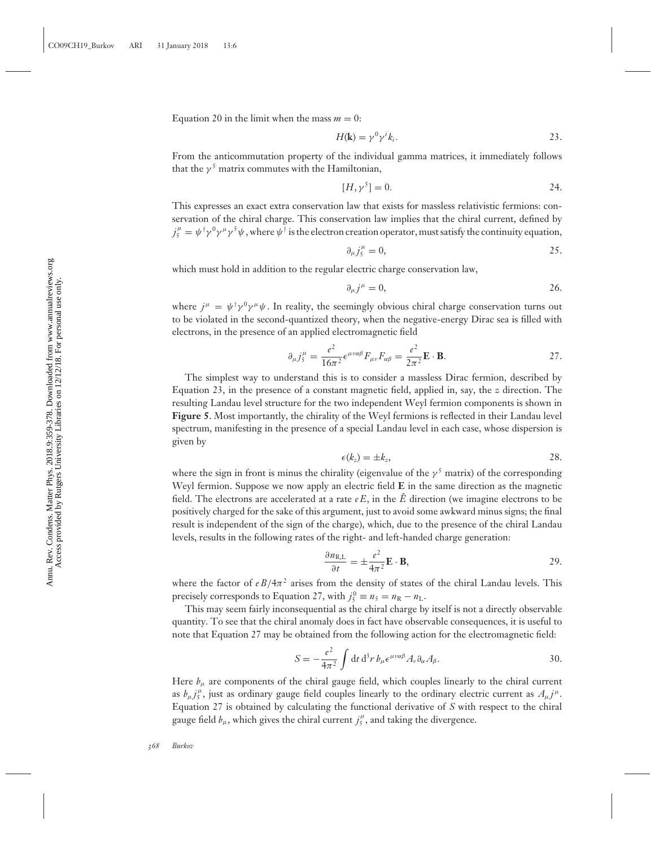Equation 20 in the limit when the mass  $m = 0$ :

$$
H(\mathbf{k}) = \gamma^0 \gamma^i k_i. \tag{23}
$$

From the anticommutation property of the individual gamma matrices, it immediately follows that the  $\gamma^5$  matrix commutes with the Hamiltonian,

$$
[H, \gamma^5] = 0. \tag{24}
$$

This expresses an exact extra conservation law that exists for massless relativistic fermions: conservation of the chiral charge. This conservation law implies that the chiral current, defined by  $j_j^\mu = \psi^\dagger \gamma^0 \gamma^\mu \gamma^5 \psi$ , where  $\psi^\dagger$  is the electron creation operator, must satisfy the continuity equation,

$$
\partial_{\mu}j_{5}^{\mu}=0, \qquad \qquad 25.
$$

which must hold in addition to the regular electric charge conservation law,

$$
\partial_{\mu}j^{\mu}=0, \qquad \qquad 26.
$$

where  $j^{\mu} = \psi^{\dagger} \gamma^0 \gamma^{\mu} \psi$ . In reality, the seemingly obvious chiral charge conservation turns out to be violated in the second-quantized theory, when the negative-energy Dirac sea is filled with electrons, in the presence of an applied electromagnetic field

$$
\partial_{\mu}j_{5}^{\mu} = \frac{e^{2}}{16\pi^{2}} \epsilon^{\mu\nu\alpha\beta} F_{\mu\nu} F_{\alpha\beta} = \frac{e^{2}}{2\pi^{2}} \mathbf{E} \cdot \mathbf{B}.
$$

The simplest way to understand this is to consider a massless Dirac fermion, described by Equation 23, in the presence of a constant magnetic field, applied in, say, the *z* direction. The resulting Landau level structure for the two independent Weyl fermion components is shown in **Figure 5**. Most importantly, the chirality of the Weyl fermions is reflected in their Landau level spectrum, manifesting in the presence of a special Landau level in each case, whose dispersion is given by

$$
\epsilon(k_z)=\pm k_z,\hspace{1cm}28.
$$

where the sign in front is minus the chirality (eigenvalue of the  $\gamma^5$  matrix) of the corresponding Weyl fermion. Suppose we now apply an electric field **E** in the same direction as the magnetic field. The electrons are accelerated at a rate  $e E$ , in the  $\hat{E}$  direction (we imagine electrons to be positively charged for the sake of this argument, just to avoid some awkward minus signs; the final result is independent of the sign of the charge), which, due to the presence of the chiral Landau levels, results in the following rates of the right- and left-handed charge generation:

$$
\frac{\partial n_{\text{R},\text{L}}}{\partial t} = \pm \frac{e^2}{4\pi^2} \mathbf{E} \cdot \mathbf{B},\tag{29}
$$

where the factor of  $e B/4\pi^2$  arises from the density of states of the chiral Landau levels. This precisely corresponds to Equation 27, with  $j_5^0 \equiv n_5 = n_{\rm R} - n_{\rm L}$ .

This may seem fairly inconsequential as the chiral charge by itself is not a directly observable quantity. To see that the chiral anomaly does in fact have observable consequences, it is useful to note that Equation 27 may be obtained from the following action for the electromagnetic field:

$$
S = -\frac{e^2}{4\pi^2} \int \mathrm{d}t \, \mathrm{d}^3 r \, b_\mu \epsilon^{\mu\nu\alpha\beta} A_\nu \partial_\alpha A_\beta. \tag{30}
$$

Here  $b_{\mu}$  are components of the chiral gauge field, which couples linearly to the chiral current as  $b_\mu j_5^\mu$ , just as ordinary gauge field couples linearly to the ordinary electric current as  $A_\mu j^\mu$ . Equation 27 is obtained by calculating the functional derivative of *S* with respect to the chiral gauge field  $b_{\mu}$ , which gives the chiral current  $j^{\mu}_{5}$ , and taking the divergence.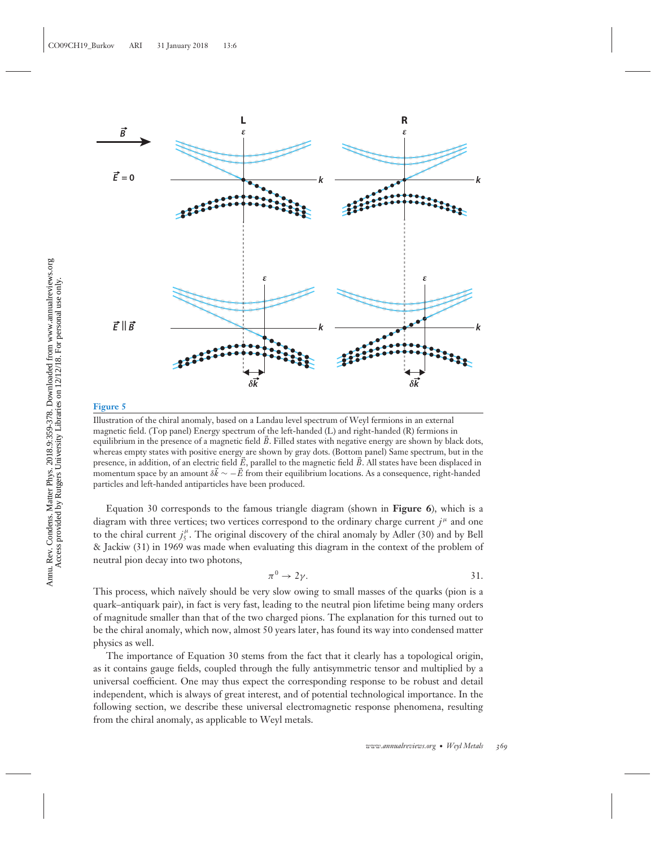

Illustration of the chiral anomaly, based on a Landau level spectrum of Weyl fermions in an external magnetic field. (Top panel) Energy spectrum of the left-handed (L) and right-handed (R) fermions in equilibrium in the presence of a magnetic field  $\vec{B}$ . Filled states with negative energy are shown by black dots, whereas empty states with positive energy are shown by gray dots. (Bottom panel) Same spectrum, but in the presence, in addition, of an electric field  $\vec{E}$ , parallel to the magnetic field  $\vec{B}$ . All states have been displaced in momentum space by an amount  $\delta \vec{k} \sim -\vec{E}$  from their equilibrium locations. As a consequence, right-handed particles and left-handed antiparticles have been produced.

Equation 30 corresponds to the famous triangle diagram (shown in **Figure 6**), which is a diagram with three vertices; two vertices correspond to the ordinary charge current  $j^{\mu}$  and one to the chiral current  $j^{\mu}_{5}$ . The original discovery of the chiral anomaly by Adler (30) and by Bell & Jackiw (31) in 1969 was made when evaluating this diagram in the context of the problem of neutral pion decay into two photons,

$$
\pi^0 \to 2\gamma.
$$
 31.

This process, which naïvely should be very slow owing to small masses of the quarks (pion is a quark–antiquark pair), in fact is very fast, leading to the neutral pion lifetime being many orders of magnitude smaller than that of the two charged pions. The explanation for this turned out to be the chiral anomaly, which now, almost 50 years later, has found its way into condensed matter physics as well.

The importance of Equation 30 stems from the fact that it clearly has a topological origin, as it contains gauge fields, coupled through the fully antisymmetric tensor and multiplied by a universal coefficient. One may thus expect the corresponding response to be robust and detail independent, which is always of great interest, and of potential technological importance. In the following section, we describe these universal electromagnetic response phenomena, resulting from the chiral anomaly, as applicable to Weyl metals.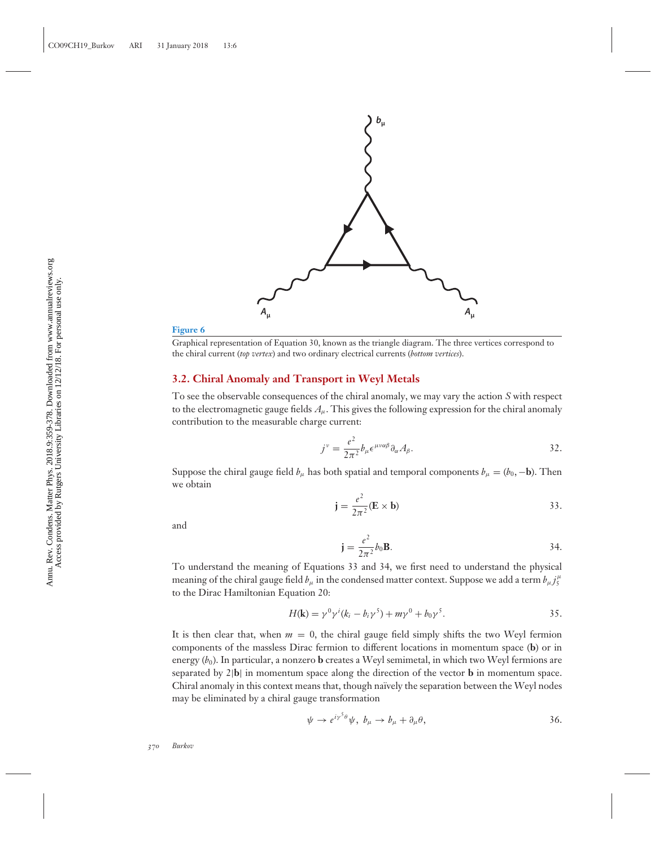

Graphical representation of Equation 30, known as the triangle diagram. The three vertices correspond to the chiral current (*top vertex*) and two ordinary electrical currents (*bottom vertices*).

## **3.2. Chiral Anomaly and Transport in Weyl Metals**

To see the observable consequences of the chiral anomaly, we may vary the action *S* with respect to the electromagnetic gauge fields *A*μ. This gives the following expression for the chiral anomaly contribution to the measurable charge current:

$$
j^{\nu} = \frac{e^2}{2\pi^2} b_{\mu} \epsilon^{\mu\nu\alpha\beta} \partial_{\alpha} A_{\beta}.
$$

Suppose the chiral gauge field  $b_\mu$  has both spatial and temporal components  $b_\mu = (b_0, -\mathbf{b})$ . Then we obtain

$$
\mathbf{j} = \frac{e^2}{2\pi^2} (\mathbf{E} \times \mathbf{b})
$$
 33.

and

$$
\mathbf{j} = \frac{e^2}{2\pi^2} b_0 \mathbf{B}.
$$
34.

To understand the meaning of Equations 33 and 34, we first need to understand the physical meaning of the chiral gauge field  $b_\mu$  in the condensed matter context. Suppose we add a term  $b_\mu j_5^\mu$ to the Dirac Hamiltonian Equation 20:

$$
H(\mathbf{k}) = \gamma^{0} \gamma^{i} (k_{i} - b_{i} \gamma^{5}) + m \gamma^{0} + b_{0} \gamma^{5}.
$$

It is then clear that, when  $m = 0$ , the chiral gauge field simply shifts the two Weyl fermion components of the massless Dirac fermion to different locations in momentum space (**b**) or in energy (*b*0). In particular, a nonzero **b** creates a Weyl semimetal, in which two Weyl fermions are separated by 2|**b**| in momentum space along the direction of the vector **b** in momentum space. Chiral anomaly in this context means that, though naïvely the separation between the Weyl nodes may be eliminated by a chiral gauge transformation

$$
\psi \to e^{i\gamma^5\theta}\psi, \ b_\mu \to b_\mu + \partial_\mu\theta, \qquad \qquad \text{36.}
$$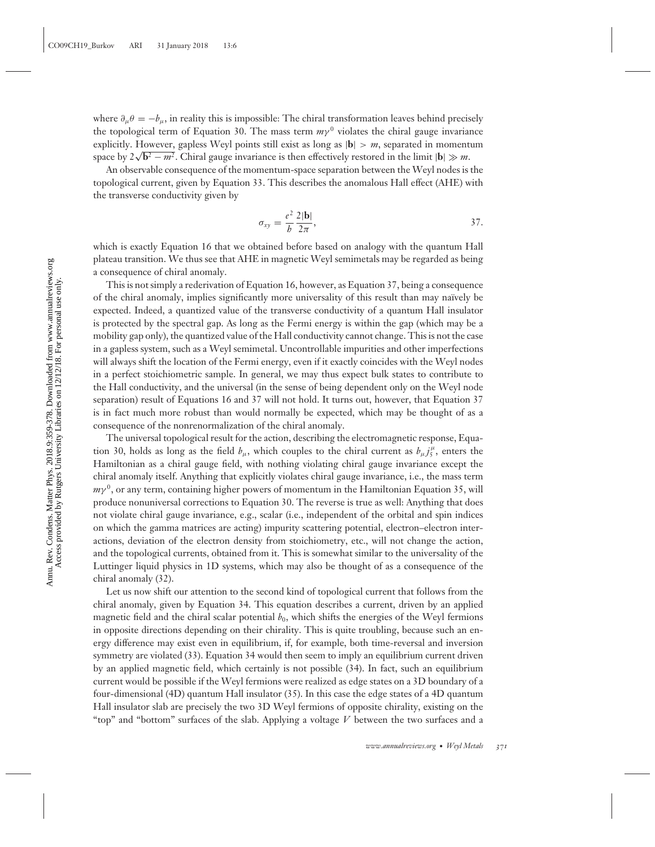where  $\partial_{\mu}\theta = -b_{\mu}$ , in reality this is impossible: The chiral transformation leaves behind precisely the topological term of Equation 30. The mass term  $m\gamma^0$  violates the chiral gauge invariance explicitly. However, gapless Weyl points still exist as long as  $|\mathbf{b}| > m$ , separated in momentum space by  $2\sqrt{b^2 - m^2}$ . Chiral gauge invariance is then effectively restored in the limit  $|b| \gg m$ .

An observable consequence of the momentum-space separation between the Weyl nodes is the topological current, given by Equation 33. This describes the anomalous Hall effect (AHE) with the transverse conductivity given by

$$
\sigma_{xy} = \frac{e^2}{b} \frac{2|\mathbf{b}|}{2\pi},\tag{37}
$$

which is exactly Equation 16 that we obtained before based on analogy with the quantum Hall plateau transition. We thus see that AHE in magnetic Weyl semimetals may be regarded as being a consequence of chiral anomaly.

This is not simply a rederivation of Equation 16, however, as Equation 37, being a consequence of the chiral anomaly, implies significantly more universality of this result than may na¨ıvely be expected. Indeed, a quantized value of the transverse conductivity of a quantum Hall insulator is protected by the spectral gap. As long as the Fermi energy is within the gap (which may be a mobility gap only), the quantized value of the Hall conductivity cannot change. This is not the case in a gapless system, such as a Weyl semimetal. Uncontrollable impurities and other imperfections will always shift the location of the Fermi energy, even if it exactly coincides with the Weyl nodes in a perfect stoichiometric sample. In general, we may thus expect bulk states to contribute to the Hall conductivity, and the universal (in the sense of being dependent only on the Weyl node separation) result of Equations 16 and 37 will not hold. It turns out, however, that Equation 37 is in fact much more robust than would normally be expected, which may be thought of as a consequence of the nonrenormalization of the chiral anomaly.

The universal topological result for the action, describing the electromagnetic response, Equation 30, holds as long as the field  $b_\mu$ , which couples to the chiral current as  $b_\mu j_5^\mu$ , enters the Hamiltonian as a chiral gauge field, with nothing violating chiral gauge invariance except the chiral anomaly itself. Anything that explicitly violates chiral gauge invariance, i.e., the mass term  $m\gamma^{0}$ , or any term, containing higher powers of momentum in the Hamiltonian Equation 35, will produce nonuniversal corrections to Equation 30. The reverse is true as well: Anything that does not violate chiral gauge invariance, e.g., scalar (i.e., independent of the orbital and spin indices on which the gamma matrices are acting) impurity scattering potential, electron–electron interactions, deviation of the electron density from stoichiometry, etc., will not change the action, and the topological currents, obtained from it. This is somewhat similar to the universality of the Luttinger liquid physics in 1D systems, which may also be thought of as a consequence of the chiral anomaly (32).

Let us now shift our attention to the second kind of topological current that follows from the chiral anomaly, given by Equation 34. This equation describes a current, driven by an applied magnetic field and the chiral scalar potential  $b<sub>0</sub>$ , which shifts the energies of the Weyl fermions in opposite directions depending on their chirality. This is quite troubling, because such an energy difference may exist even in equilibrium, if, for example, both time-reversal and inversion symmetry are violated (33). Equation 34 would then seem to imply an equilibrium current driven by an applied magnetic field, which certainly is not possible (34). In fact, such an equilibrium current would be possible if the Weyl fermions were realized as edge states on a 3D boundary of a four-dimensional (4D) quantum Hall insulator (35). In this case the edge states of a 4D quantum Hall insulator slab are precisely the two 3D Weyl fermions of opposite chirality, existing on the "top" and "bottom" surfaces of the slab. Applying a voltage *V* between the two surfaces and a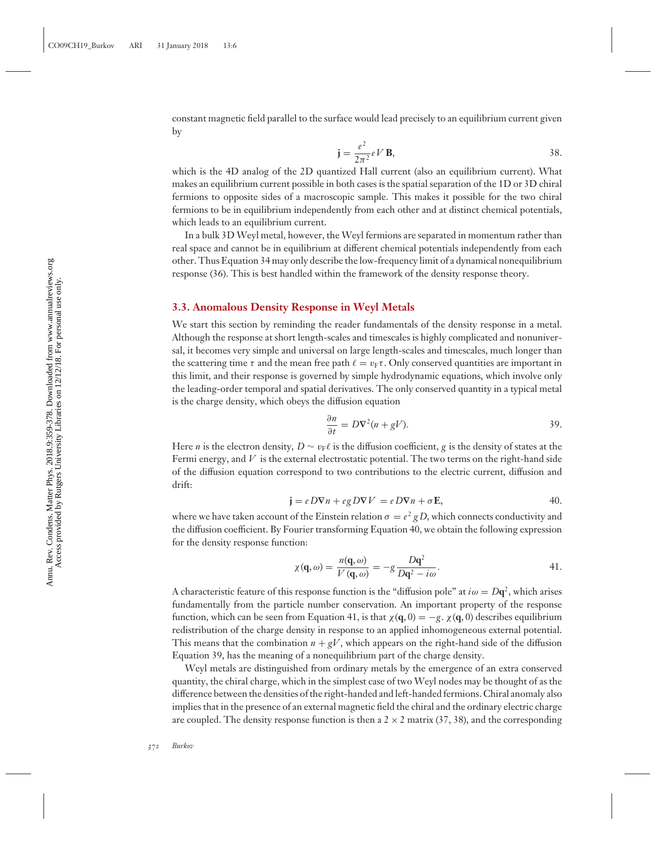constant magnetic field parallel to the surface would lead precisely to an equilibrium current given by

$$
\mathbf{j} = \frac{e^2}{2\pi^2} eV \mathbf{B},\tag{38}
$$

which is the 4D analog of the 2D quantized Hall current (also an equilibrium current). What makes an equilibrium current possible in both cases is the spatial separation of the 1D or 3D chiral fermions to opposite sides of a macroscopic sample. This makes it possible for the two chiral fermions to be in equilibrium independently from each other and at distinct chemical potentials, which leads to an equilibrium current.

In a bulk 3D Weyl metal, however, the Weyl fermions are separated in momentum rather than real space and cannot be in equilibrium at different chemical potentials independently from each other. Thus Equation 34 may only describe the low-frequency limit of a dynamical nonequilibrium response (36). This is best handled within the framework of the density response theory.

#### **3.3. Anomalous Density Response in Weyl Metals**

We start this section by reminding the reader fundamentals of the density response in a metal. Although the response at short length-scales and timescales is highly complicated and nonuniversal, it becomes very simple and universal on large length-scales and timescales, much longer than the scattering time  $\tau$  and the mean free path  $\ell = v_{\text{F}} \tau$ . Only conserved quantities are important in this limit, and their response is governed by simple hydrodynamic equations, which involve only the leading-order temporal and spatial derivatives. The only conserved quantity in a typical metal is the charge density, which obeys the diffusion equation

$$
\frac{\partial n}{\partial t} = D\nabla^2(n+gV). \tag{39}
$$

Here *n* is the electron density,  $D \sim v_F \ell$  is the diffusion coefficient, *g* is the density of states at the Fermi energy, and *V* is the external electrostatic potential. The two terms on the right-hand side of the diffusion equation correspond to two contributions to the electric current, diffusion and drift:

$$
\mathbf{j} = e \, D \nabla n + e \, g \, D \nabla V = e \, D \nabla n + \sigma \, \mathbf{E},\tag{40}
$$

where we have taken account of the Einstein relation  $\sigma = e^2 g D$ , which connects conductivity and the diffusion coefficient. By Fourier transforming Equation 40, we obtain the following expression for the density response function:

$$
\chi(\mathbf{q},\omega) = \frac{n(\mathbf{q},\omega)}{V(\mathbf{q},\omega)} = -g \frac{D\mathbf{q}^2}{D\mathbf{q}^2 - i\omega}.
$$
 41.

A characteristic feature of this response function is the "diffusion pole" at  $i\omega = Dq^2$ , which arises fundamentally from the particle number conservation. An important property of the response function, which can be seen from Equation 41, is that  $\chi(\mathbf{q}, 0) = -g$ .  $\chi(\mathbf{q}, 0)$  describes equilibrium redistribution of the charge density in response to an applied inhomogeneous external potential. This means that the combination  $n + gV$ , which appears on the right-hand side of the diffusion Equation 39, has the meaning of a nonequilibrium part of the charge density.

Weyl metals are distinguished from ordinary metals by the emergence of an extra conserved quantity, the chiral charge, which in the simplest case of two Weyl nodes may be thought of as the difference between the densities of the right-handed and left-handed fermions. Chiral anomaly also implies that in the presence of an external magnetic field the chiral and the ordinary electric charge are coupled. The density response function is then a  $2 \times 2$  matrix (37, 38), and the corresponding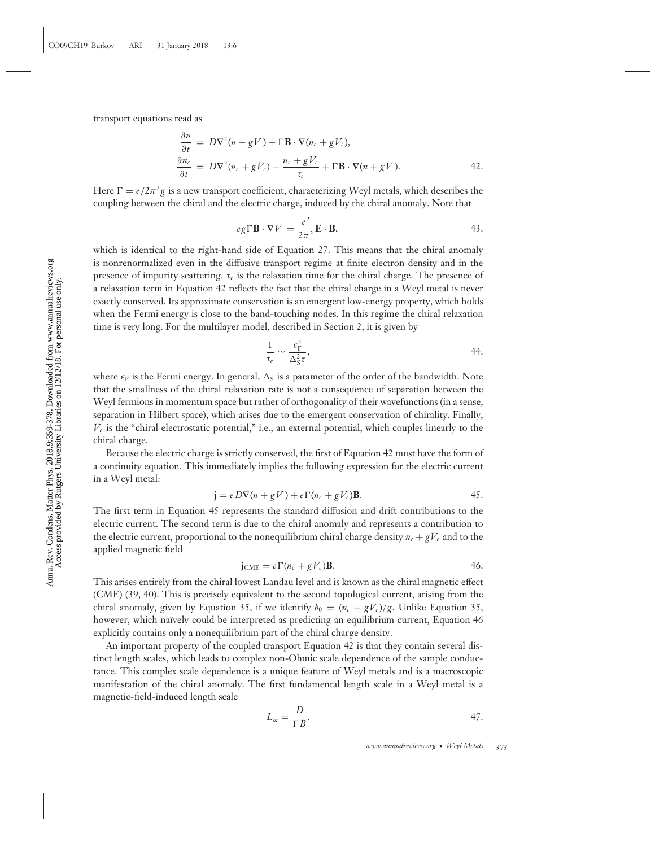$$
\frac{\partial n}{\partial t} = D\nabla^2(n+gV) + \Gamma \mathbf{B} \cdot \nabla(n_c + gV_c),
$$
  
\n
$$
\frac{\partial n_c}{\partial t} = D\nabla^2(n_c + gV_c) - \frac{n_c + gV_c}{\tau_c} + \Gamma \mathbf{B} \cdot \nabla(n+gV).
$$
 42.

Here  $\Gamma = e/2\pi^2 g$  is a new transport coefficient, characterizing Weyl metals, which describes the coupling between the chiral and the electric charge, induced by the chiral anomaly. Note that

$$
eg\Gamma\mathbf{B}\cdot\mathbf{\nabla}V=\frac{e^2}{2\pi^2}\mathbf{E}\cdot\mathbf{B},\tag{43}
$$

which is identical to the right-hand side of Equation 27. This means that the chiral anomaly is nonrenormalized even in the diffusive transport regime at finite electron density and in the presence of impurity scattering.  $\tau_c$  is the relaxation time for the chiral charge. The presence of a relaxation term in Equation 42 reflects the fact that the chiral charge in a Weyl metal is never exactly conserved. Its approximate conservation is an emergent low-energy property, which holds when the Fermi energy is close to the band-touching nodes. In this regime the chiral relaxation time is very long. For the multilayer model, described in Section 2, it is given by

$$
\frac{1}{\tau_{\rm c}} \sim \frac{\epsilon_{\rm F}^2}{\Delta_{\rm S}^2 \tau},\tag{44.}
$$

where  $\epsilon_{\rm F}$  is the Fermi energy. In general,  $\Delta_{\rm S}$  is a parameter of the order of the bandwidth. Note that the smallness of the chiral relaxation rate is not a consequence of separation between the Weyl fermions in momentum space but rather of orthogonality of their wavefunctions (in a sense, separation in Hilbert space), which arises due to the emergent conservation of chirality. Finally,  $V_c$  is the "chiral electrostatic potential," i.e., an external potential, which couples linearly to the chiral charge.

Because the electric charge is strictly conserved, the first of Equation 42 must have the form of a continuity equation. This immediately implies the following expression for the electric current in a Weyl metal:

$$
\mathbf{j} = e \, D \nabla (n + gV) + e \, \Gamma (n_c + gV_c) \mathbf{B}.\tag{45}
$$

The first term in Equation 45 represents the standard diffusion and drift contributions to the electric current. The second term is due to the chiral anomaly and represents a contribution to the electric current, proportional to the nonequilibrium chiral charge density  $n_c + gV_c$  and to the applied magnetic field

$$
\mathbf{j}_{\text{CME}} = e \Gamma(n_c + gV_c) \mathbf{B}.\tag{46}
$$

This arises entirely from the chiral lowest Landau level and is known as the chiral magnetic effect (CME) (39, 40). This is precisely equivalent to the second topological current, arising from the chiral anomaly, given by Equation 35, if we identify  $b_0 = (n_c + gV_c)/g$ . Unlike Equation 35, however, which naïvely could be interpreted as predicting an equilibrium current, Equation 46 explicitly contains only a nonequilibrium part of the chiral charge density.

An important property of the coupled transport Equation 42 is that they contain several distinct length scales, which leads to complex non-Ohmic scale dependence of the sample conductance. This complex scale dependence is a unique feature of Weyl metals and is a macroscopic manifestation of the chiral anomaly. The first fundamental length scale in a Weyl metal is a magnetic-field-induced length scale

$$
L_m = \frac{D}{\Gamma B}.\tag{47}
$$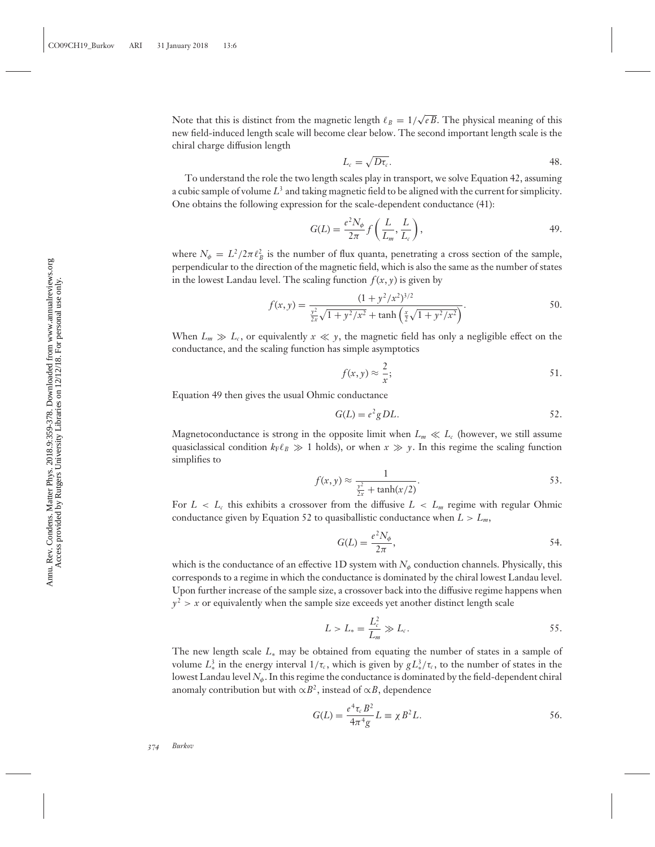Note that this is distinct from the magnetic length  $\ell_B = 1/\sqrt{eB}$ . The physical meaning of this new field-induced length scale will become clear below. The second important length scale is the chiral charge diffusion length

$$
L_c = \sqrt{D\tau_c}.
$$

To understand the role the two length scales play in transport, we solve Equation 42, assuming a cubic sample of volume *L*<sup>3</sup> and taking magnetic field to be aligned with the current for simplicity. One obtains the following expression for the scale-dependent conductance (41):

$$
G(L) = \frac{e^2 N_{\phi}}{2\pi} f\left(\frac{L}{L_m}, \frac{L}{L_c}\right),
$$

where  $N_{\phi} = L^2/2\pi \ell_B^2$  is the number of flux quanta, penetrating a cross section of the sample, perpendicular to the direction of the magnetic field, which is also the same as the number of states in the lowest Landau level. The scaling function  $f(x, y)$  is given by

$$
f(x,y) = \frac{(1+y^2/x^2)^{3/2}}{\frac{y^2}{2x}\sqrt{1+y^2/x^2} + \tanh\left(\frac{x}{2}\sqrt{1+y^2/x^2}\right)}.
$$
 50.

When  $L_m \gg L_c$ , or equivalently  $x \ll y$ , the magnetic field has only a negligible effect on the conductance, and the scaling function has simple asymptotics

$$
f(x,y) \approx \frac{2}{x};
$$
 51.

Equation 49 then gives the usual Ohmic conductance

$$
G(L) = e^2 g D L. \t\t\t\t\t\t52.
$$

Magnetoconductance is strong in the opposite limit when  $L_m \ll L_c$  (however, we still assume quasiclassical condition  $k_F \ell_B \gg 1$  holds), or when  $x \gg y$ . In this regime the scaling function simplifies to

$$
f(x,y) \approx \frac{1}{\frac{y^2}{2x} + \tanh(x/2)}.
$$

For  $L < L_c$  this exhibits a crossover from the diffusive  $L < L_m$  regime with regular Ohmic conductance given by Equation 52 to quasiballistic conductance when  $L > L_m$ ,

$$
G(L) = \frac{e^2 N_{\phi}}{2\pi},
$$
 54.

which is the conductance of an effective 1D system with  $N_{\phi}$  conduction channels. Physically, this corresponds to a regime in which the conductance is dominated by the chiral lowest Landau level. Upon further increase of the sample size, a crossover back into the diffusive regime happens when  $y^2 > x$  or equivalently when the sample size exceeds yet another distinct length scale

$$
L > L_* = \frac{L_c^2}{L_m} \gg L_c.
$$

The new length scale *L*<sup>∗</sup> may be obtained from equating the number of states in a sample of volume  $L^3_*$  in the energy interval  $1/\tau_c$ , which is given by  $gL^3_*/\tau_c$ , to the number of states in the lowest Landau level  $N_{\phi}$ . In this regime the conductance is dominated by the field-dependent chiral anomaly contribution but with  $\propto B^2$ , instead of  $\propto B$ , dependence

$$
G(L) = \frac{e^4 \tau_c B^2}{4\pi^4 g} L \equiv \chi B^2 L.
$$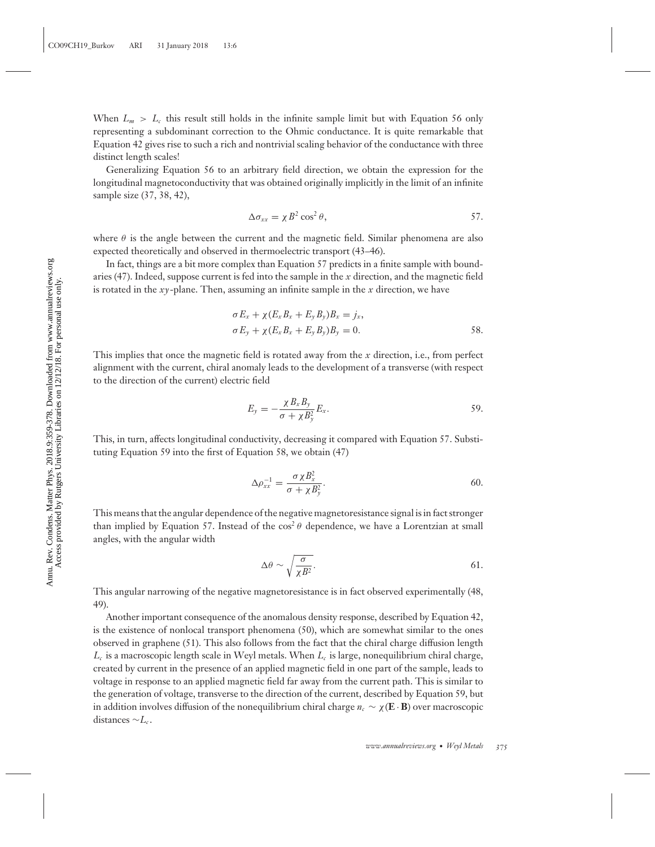Generalizing Equation 56 to an arbitrary field direction, we obtain the expression for the longitudinal magnetoconductivity that was obtained originally implicitly in the limit of an infinite sample size (37, 38, 42),

$$
\Delta \sigma_{xx} = \chi B^2 \cos^2 \theta, \qquad 57.
$$

where  $\theta$  is the angle between the current and the magnetic field. Similar phenomena are also expected theoretically and observed in thermoelectric transport (43–46).

In fact, things are a bit more complex than Equation 57 predicts in a finite sample with boundaries (47). Indeed, suppose current is fed into the sample in the *x* direction, and the magnetic field is rotated in the *xy*-plane. Then, assuming an infinite sample in the *x* direction, we have

$$
\sigma E_x + \chi (E_x B_x + E_y B_y) B_x = j_x,
$$
  
\n
$$
\sigma E_y + \chi (E_x B_x + E_y B_y) B_y = 0.
$$
 58.

This implies that once the magnetic field is rotated away from the *x* direction, i.e., from perfect alignment with the current, chiral anomaly leads to the development of a transverse (with respect to the direction of the current) electric field

$$
E_y = -\frac{\chi B_x B_y}{\sigma + \chi B_y^2} E_x.
$$
59.

This, in turn, affects longitudinal conductivity, decreasing it compared with Equation 57. Substituting Equation 59 into the first of Equation 58, we obtain (47)

$$
\Delta \rho_{xx}^{-1} = \frac{\sigma \chi B_x^2}{\sigma + \chi B_y^2}.
$$

This means that the angular dependence of the negative magnetoresistance signal is in fact stronger than implied by Equation 57. Instead of the  $\cos^2 \theta$  dependence, we have a Lorentzian at small angles, with the angular width

$$
\Delta \theta \sim \sqrt{\frac{\sigma}{\chi B^2}}.\tag{61}
$$

This angular narrowing of the negative magnetoresistance is in fact observed experimentally (48, 49).

Another important consequence of the anomalous density response, described by Equation 42, is the existence of nonlocal transport phenomena (50), which are somewhat similar to the ones observed in graphene (51). This also follows from the fact that the chiral charge diffusion length  $L_c$  is a macroscopic length scale in Weyl metals. When  $L_c$  is large, nonequilibrium chiral charge, created by current in the presence of an applied magnetic field in one part of the sample, leads to voltage in response to an applied magnetic field far away from the current path. This is similar to the generation of voltage, transverse to the direction of the current, described by Equation 59, but in addition involves diffusion of the nonequilibrium chiral charge *nc* ∼ χ(**E** · **B**) over macroscopic distances ∼*Lc* .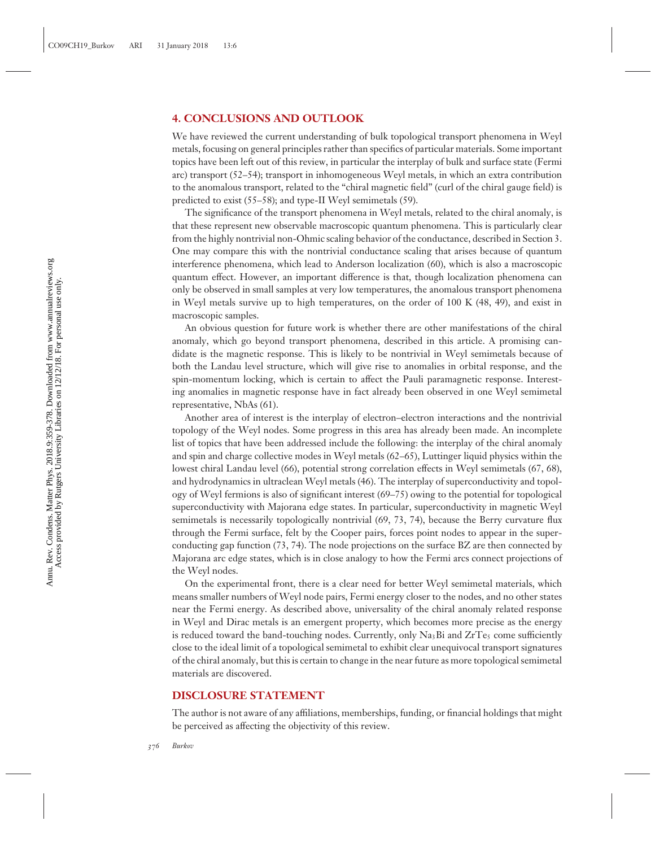## **4. CONCLUSIONS AND OUTLOOK**

We have reviewed the current understanding of bulk topological transport phenomena in Weyl metals, focusing on general principles rather than specifics of particular materials. Some important topics have been left out of this review, in particular the interplay of bulk and surface state (Fermi arc) transport (52–54); transport in inhomogeneous Weyl metals, in which an extra contribution to the anomalous transport, related to the "chiral magnetic field" (curl of the chiral gauge field) is predicted to exist (55–58); and type-II Weyl semimetals (59).

The significance of the transport phenomena in Weyl metals, related to the chiral anomaly, is that these represent new observable macroscopic quantum phenomena. This is particularly clear from the highly nontrivial non-Ohmic scaling behavior of the conductance, described in Section 3. One may compare this with the nontrivial conductance scaling that arises because of quantum interference phenomena, which lead to Anderson localization (60), which is also a macroscopic quantum effect. However, an important difference is that, though localization phenomena can only be observed in small samples at very low temperatures, the anomalous transport phenomena in Weyl metals survive up to high temperatures, on the order of 100 K (48, 49), and exist in macroscopic samples.

An obvious question for future work is whether there are other manifestations of the chiral anomaly, which go beyond transport phenomena, described in this article. A promising candidate is the magnetic response. This is likely to be nontrivial in Weyl semimetals because of both the Landau level structure, which will give rise to anomalies in orbital response, and the spin-momentum locking, which is certain to affect the Pauli paramagnetic response. Interesting anomalies in magnetic response have in fact already been observed in one Weyl semimetal representative, NbAs (61).

Another area of interest is the interplay of electron–electron interactions and the nontrivial topology of the Weyl nodes. Some progress in this area has already been made. An incomplete list of topics that have been addressed include the following: the interplay of the chiral anomaly and spin and charge collective modes in Weyl metals (62–65), Luttinger liquid physics within the lowest chiral Landau level (66), potential strong correlation effects in Weyl semimetals (67, 68), and hydrodynamics in ultraclean Weyl metals (46). The interplay of superconductivity and topology of Weyl fermions is also of significant interest (69–75) owing to the potential for topological superconductivity with Majorana edge states. In particular, superconductivity in magnetic Weyl semimetals is necessarily topologically nontrivial (69, 73, 74), because the Berry curvature flux through the Fermi surface, felt by the Cooper pairs, forces point nodes to appear in the superconducting gap function (73, 74). The node projections on the surface BZ are then connected by Majorana arc edge states, which is in close analogy to how the Fermi arcs connect projections of the Weyl nodes.

On the experimental front, there is a clear need for better Weyl semimetal materials, which means smaller numbers of Weyl node pairs, Fermi energy closer to the nodes, and no other states near the Fermi energy. As described above, universality of the chiral anomaly related response in Weyl and Dirac metals is an emergent property, which becomes more precise as the energy is reduced toward the band-touching nodes. Currently, only  $Na<sub>3</sub>Bi$  and  $ZrTe<sub>5</sub>$  come sufficiently close to the ideal limit of a topological semimetal to exhibit clear unequivocal transport signatures of the chiral anomaly, but this is certain to change in the near future as more topological semimetal materials are discovered.

## **DISCLOSURE STATEMENT**

The author is not aware of any affiliations, memberships, funding, or financial holdings that might be perceived as affecting the objectivity of this review.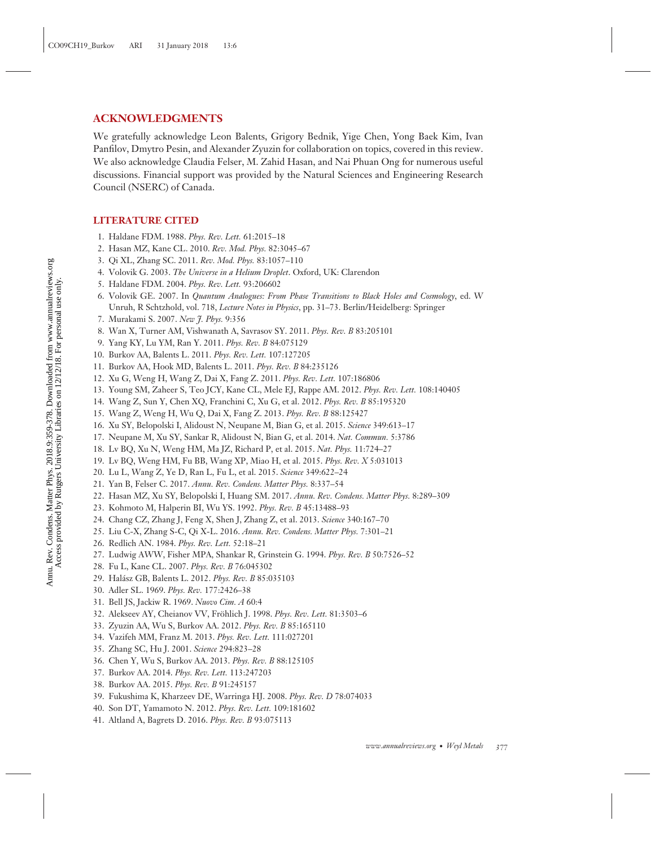## **ACKNOWLEDGMENTS**

We gratefully acknowledge Leon Balents, Grigory Bednik, Yige Chen, Yong Baek Kim, Ivan Panfilov, Dmytro Pesin, and Alexander Zyuzin for collaboration on topics, covered in this review. We also acknowledge Claudia Felser, M. Zahid Hasan, and Nai Phuan Ong for numerous useful discussions. Financial support was provided by the Natural Sciences and Engineering Research Council (NSERC) of Canada.

## **LITERATURE CITED**

- 1. Haldane FDM. 1988. *Phys. Rev. Lett.* 61:2015–18
- 2. Hasan MZ, Kane CL. 2010. *Rev. Mod. Phys.* 82:3045–67
- 3. Qi XL, Zhang SC. 2011. *Rev. Mod. Phys.* 83:1057–110
- 4. Volovik G. 2003. *The Universe in a Helium Droplet*. Oxford, UK: Clarendon
- 5. Haldane FDM. 2004. *Phys. Rev. Lett.* 93:206602
- 6. Volovik GE. 2007. In *Quantum Analogues: From Phase Transitions to Black Holes and Cosmology*, ed. W Unruh, R Schtzhold, vol. 718, *Lecture Notes in Physics*, pp. 31–73. Berlin/Heidelberg: Springer
- 7. Murakami S. 2007. *New J. Phys.* 9:356
- 8. Wan X, Turner AM, Vishwanath A, Savrasov SY. 2011. *Phys. Rev. B* 83:205101
- 9. Yang KY, Lu YM, Ran Y. 2011. *Phys. Rev. B* 84:075129
- 10. Burkov AA, Balents L. 2011. *Phys. Rev. Lett.* 107:127205
- 11. Burkov AA, Hook MD, Balents L. 2011. *Phys. Rev. B* 84:235126
- 12. Xu G, Weng H, Wang Z, Dai X, Fang Z. 2011. *Phys. Rev. Lett.* 107:186806
- 13. Young SM, Zaheer S, Teo JCY, Kane CL, Mele EJ, Rappe AM. 2012. *Phys. Rev. Lett.* 108:140405
- 14. Wang Z, Sun Y, Chen XQ, Franchini C, Xu G, et al. 2012. *Phys. Rev. B* 85:195320
- 15. Wang Z, Weng H, Wu Q, Dai X, Fang Z. 2013. *Phys. Rev. B* 88:125427
- 16. Xu SY, Belopolski I, Alidoust N, Neupane M, Bian G, et al. 2015. *Science* 349:613–17
- 17. Neupane M, Xu SY, Sankar R, Alidoust N, Bian G, et al. 2014. *Nat. Commun.* 5:3786
- 18. Lv BQ, Xu N, Weng HM, Ma JZ, Richard P, et al. 2015. *Nat. Phys.* 11:724–27
- 19. Lv BQ, Weng HM, Fu BB, Wang XP, Miao H, et al. 2015. *Phys. Rev. X* 5:031013
- 20. Lu L, Wang Z, Ye D, Ran L, Fu L, et al. 2015. *Science* 349:622–24
- 21. Yan B, Felser C. 2017. *Annu. Rev. Condens. Matter Phys.* 8:337–54
- 22. Hasan MZ, Xu SY, Belopolski I, Huang SM. 2017. *Annu. Rev. Condens. Matter Phys.* 8:289–309
- 23. Kohmoto M, Halperin BI, Wu YS. 1992. *Phys. Rev. B* 45:13488–93
- 24. Chang CZ, Zhang J, Feng X, Shen J, Zhang Z, et al. 2013. *Science* 340:167–70
- 25. Liu C-X, Zhang S-C, Qi X-L. 2016. *Annu. Rev. Condens. Matter Phys.* 7:301–21
- 26. Redlich AN. 1984. *Phys. Rev. Lett.* 52:18–21
- 27. Ludwig AWW, Fisher MPA, Shankar R, Grinstein G. 1994. *Phys. Rev. B* 50:7526–52
- 28. Fu L, Kane CL. 2007. *Phys. Rev. B* 76:045302
- 29. Halász GB, Balents L. 2012. Phys. Rev. B 85:035103
- 30. Adler SL. 1969. *Phys. Rev.* 177:2426–38
- 31. Bell JS, Jackiw R. 1969. *Nuovo Cim. A* 60:4
- 32. Alekseev AY, Cheianov VV, Fröhlich J. 1998. Phys. Rev. Lett. 81:3503-6
- 33. Zyuzin AA, Wu S, Burkov AA. 2012. *Phys. Rev. B* 85:165110
- 34. Vazifeh MM, Franz M. 2013. *Phys. Rev. Lett.* 111:027201
- 35. Zhang SC, Hu J. 2001. *Science* 294:823–28
- 36. Chen Y, Wu S, Burkov AA. 2013. *Phys. Rev. B* 88:125105
- 37. Burkov AA. 2014. *Phys. Rev. Lett.* 113:247203
- 38. Burkov AA. 2015. *Phys. Rev. B* 91:245157
- 39. Fukushima K, Kharzeev DE, Warringa HJ. 2008. *Phys. Rev. D* 78:074033
- 40. Son DT, Yamamoto N. 2012. *Phys. Rev. Lett.* 109:181602
- 41. Altland A, Bagrets D. 2016. *Phys. Rev. B* 93:075113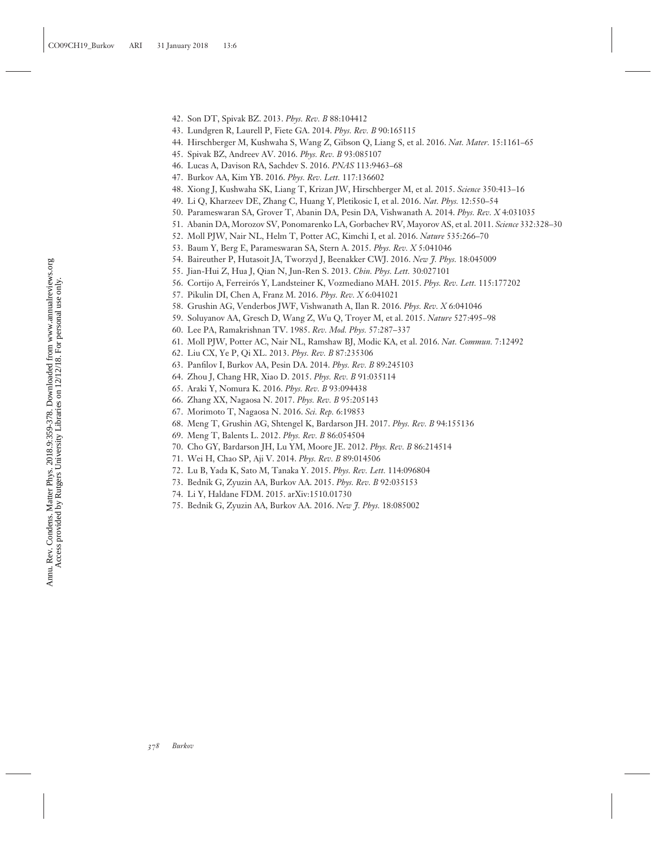- 42. Son DT, Spivak BZ. 2013. *Phys. Rev. B* 88:104412
- 43. Lundgren R, Laurell P, Fiete GA. 2014. *Phys. Rev. B* 90:165115
- 44. Hirschberger M, Kushwaha S, Wang Z, Gibson Q, Liang S, et al. 2016. *Nat. Mater.* 15:1161–65
- 45. Spivak BZ, Andreev AV. 2016. *Phys. Rev. B* 93:085107
- 46. Lucas A, Davison RA, Sachdev S. 2016. *PNAS* 113:9463–68
- 47. Burkov AA, Kim YB. 2016. *Phys. Rev. Lett.* 117:136602
- 48. Xiong J, Kushwaha SK, Liang T, Krizan JW, Hirschberger M, et al. 2015. *Science* 350:413–16
- 49. Li Q, Kharzeev DE, Zhang C, Huang Y, Pletikosic I, et al. 2016. *Nat. Phys.* 12:550–54
- 50. Parameswaran SA, Grover T, Abanin DA, Pesin DA, Vishwanath A. 2014. *Phys. Rev. X* 4:031035
- 51. Abanin DA, Morozov SV, Ponomarenko LA, Gorbachev RV, Mayorov AS, et al. 2011. *Science* 332:328–30
- 52. Moll PJW, Nair NL, Helm T, Potter AC, Kimchi I, et al. 2016. *Nature* 535:266–70
- 53. Baum Y, Berg E, Parameswaran SA, Stern A. 2015. *Phys. Rev. X* 5:041046
- 54. Baireuther P, Hutasoit JA, Tworzyd J, Beenakker CWJ. 2016. *New J. Phys.* 18:045009
- 55. Jian-Hui Z, Hua J, Qian N, Jun-Ren S. 2013. *Chin. Phys. Lett.* 30:027101
- 56. Cortijo A, Ferreirós Y, Landsteiner K, Vozmediano MAH. 2015. Phys. Rev. Lett. 115:177202
- 57. Pikulin DI, Chen A, Franz M. 2016. *Phys. Rev. X* 6:041021
- 58. Grushin AG, Venderbos JWF, Vishwanath A, Ilan R. 2016. *Phys. Rev. X* 6:041046
- 59. Soluyanov AA, Gresch D, Wang Z, Wu Q, Troyer M, et al. 2015. *Nature* 527:495–98
- 60. Lee PA, Ramakrishnan TV. 1985. *Rev. Mod. Phys.* 57:287–337
- 61. Moll PJW, Potter AC, Nair NL, Ramshaw BJ, Modic KA, et al. 2016. *Nat. Commun.* 7:12492
- 62. Liu CX, Ye P, Qi XL. 2013. *Phys. Rev. B* 87:235306
- 63. Panfilov I, Burkov AA, Pesin DA. 2014. *Phys. Rev. B* 89:245103
- 64. Zhou J, Chang HR, Xiao D. 2015. *Phys. Rev. B* 91:035114
- 65. Araki Y, Nomura K. 2016. *Phys. Rev. B* 93:094438
- 66. Zhang XX, Nagaosa N. 2017. *Phys. Rev. B* 95:205143
- 67. Morimoto T, Nagaosa N. 2016. *Sci. Rep.* 6:19853
- 68. Meng T, Grushin AG, Shtengel K, Bardarson JH. 2017. *Phys. Rev. B* 94:155136
- 69. Meng T, Balents L. 2012. *Phys. Rev. B* 86:054504
- 70. Cho GY, Bardarson JH, Lu YM, Moore JE. 2012. *Phys. Rev. B* 86:214514
- 71. Wei H, Chao SP, Aji V. 2014. *Phys. Rev. B* 89:014506
- 72. Lu B, Yada K, Sato M, Tanaka Y. 2015. *Phys. Rev. Lett.* 114:096804
- 73. Bednik G, Zyuzin AA, Burkov AA. 2015. *Phys. Rev. B* 92:035153
- 74. Li Y, Haldane FDM. 2015. arXiv:1510.01730
- 75. Bednik G, Zyuzin AA, Burkov AA. 2016. *New J. Phys.* 18:085002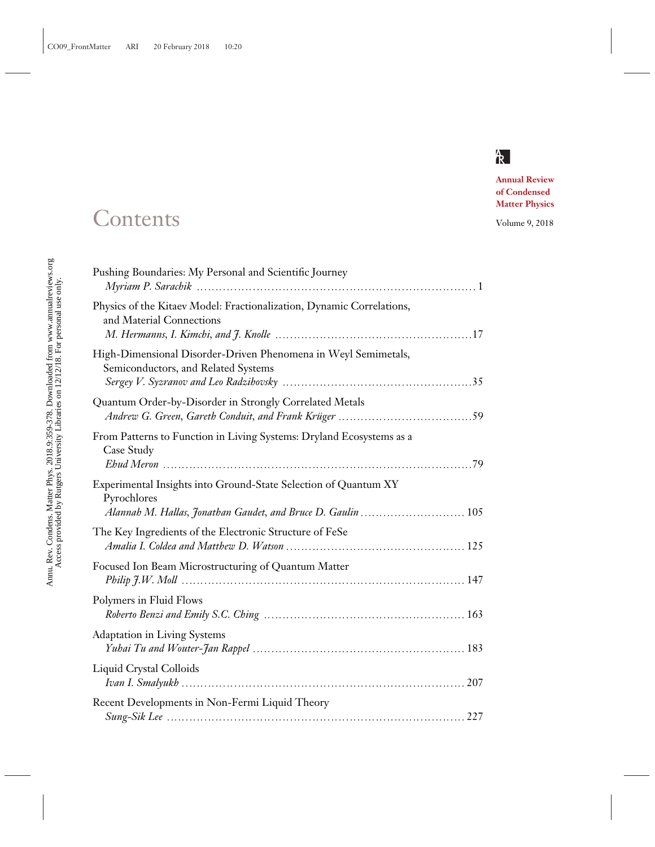

**Annual Review of Condensed Matter Physics**

# Contents Volume 9, 2018

| Pushing Boundaries: My Personal and Scientific Journey                                                                                         |
|------------------------------------------------------------------------------------------------------------------------------------------------|
| Physics of the Kitaev Model: Fractionalization, Dynamic Correlations,<br>and Material Connections                                              |
| High-Dimensional Disorder-Driven Phenomena in Weyl Semimetals,<br>Semiconductors, and Related Systems                                          |
| Quantum Order-by-Disorder in Strongly Correlated Metals                                                                                        |
| From Patterns to Function in Living Systems: Dryland Ecosystems as a<br>Case Study                                                             |
| Experimental Insights into Ground-State Selection of Quantum XY<br>Pyrochlores<br>Alannah M. Hallas, Jonathan Gaudet, and Bruce D. Gaulin  105 |
| The Key Ingredients of the Electronic Structure of FeSe                                                                                        |
| Focused Ion Beam Microstructuring of Quantum Matter                                                                                            |
| Polymers in Fluid Flows                                                                                                                        |
| <b>Adaptation in Living Systems</b>                                                                                                            |
| Liquid Crystal Colloids                                                                                                                        |
| Recent Developments in Non-Fermi Liquid Theory                                                                                                 |